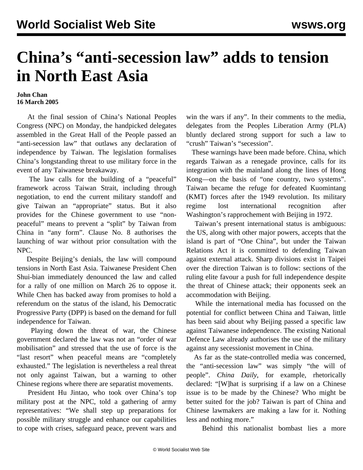## **China's "anti-secession law" adds to tension in North East Asia**

## **John Chan 16 March 2005**

 At the final session of China's National Peoples Congress (NPC) on Monday, the handpicked delegates assembled in the Great Hall of the People passed an "anti-secession law" that outlaws any declaration of independence by Taiwan. The legislation formalises China's longstanding threat to use military force in the event of any Taiwanese breakaway.

 The law calls for the building of a "peaceful" framework across Taiwan Strait, including through negotiation, to end the current military standoff and give Taiwan an "appropriate" status. But it also provides for the Chinese government to use "nonpeaceful" means to prevent a "split" by Taiwan from China in "any form". Clause No. 8 authorises the launching of war without prior consultation with the NPC.

 Despite Beijing's denials, the law will compound tensions in North East Asia. Taiwanese President Chen Shui-bian immediately denounced the law and called for a rally of one million on March 26 to oppose it. While Chen has backed away from promises to hold a referendum on the status of the island, his Democratic Progressive Party (DPP) is based on the demand for full independence for Taiwan.

 Playing down the threat of war, the Chinese government declared the law was not an "order of war mobilisation" and stressed that the use of force is the "last resort" when peaceful means are "completely exhausted." The legislation is nevertheless a real threat not only against Taiwan, but a warning to other Chinese regions where there are separatist movements.

 President Hu Jintao, who took over China's top military post at the NPC, told a gathering of army representatives: "We shall step up preparations for possible military struggle and enhance our capabilities to cope with crises, safeguard peace, prevent wars and win the wars if any". In their comments to the media, delegates from the Peoples Liberation Army (PLA) bluntly declared strong support for such a law to "crush" Taiwan's "secession".

 These warnings have been made before. China, which regards Taiwan as a renegade province, calls for its integration with the mainland along the lines of Hong Kong—on the basis of "one country, two systems". Taiwan became the refuge for defeated Kuomintang (KMT) forces after the 1949 revolution. Its military regime lost international recognition after Washington's rapprochement with Beijing in 1972.

 Taiwan's present international status is ambiguous: the US, along with other major powers, accepts that the island is part of "One China", but under the Taiwan Relations Act it is committed to defending Taiwan against external attack. Sharp divisions exist in Taipei over the direction Taiwan is to follow: sections of the ruling elite favour a push for full independence despite the threat of Chinese attack; their opponents seek an accommodation with Beijing.

 While the international media has focussed on the potential for conflict between China and Taiwan, little has been said about why Beijing passed a specific law against Taiwanese independence. The existing National Defence Law already authorises the use of the military against any secessionist movement in China.

 As far as the state-controlled media was concerned, the "anti-secession law" was simply "the will of people". *China Daily*, for example, rhetorically declared: "[W]hat is surprising if a law on a Chinese issue is to be made by the Chinese? Who might be better suited for the job? Taiwan is part of China and Chinese lawmakers are making a law for it. Nothing less and nothing more."

Behind this nationalist bombast lies a more